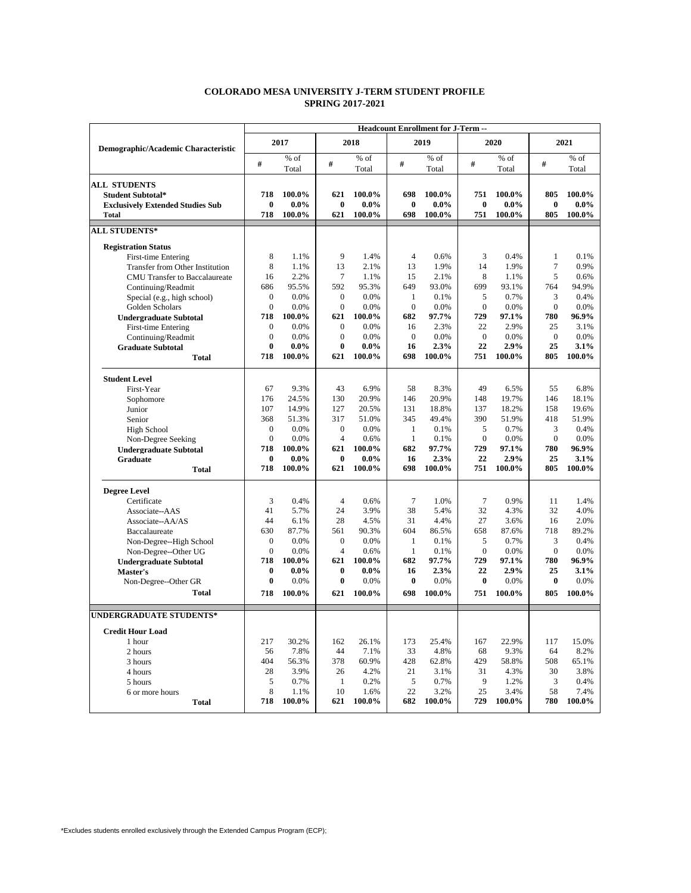## **COLORADO MESA UNIVERSITY J-TERM STUDENT PROFILE SPRING 2017-2021**

| 2017<br>2018<br>2019<br>Demographic/Academic Characteristic<br>% of<br>$%$ of<br>$%$ of<br>$\#$<br>$\#$<br>#<br>Total<br>Total<br>Total<br><b>ALL STUDENTS</b><br>718<br>100.0%<br>621<br>100.0%<br>698<br>100.0%<br><b>Student Subtotal*</b><br>$\bf{0}$<br>$0.0\%$<br>$\bf{0}$<br>$0.0\%$<br>$\bf{0}$<br>$0.0\%$<br><b>Exclusively Extended Studies Sub</b><br>718<br>100.0%<br>698<br>100.0%<br>621<br>100.0%<br><b>Total</b> | $\#$<br>751<br>$\bf{0}$<br>751<br>0.6%<br>3<br>1.9%<br>14<br>8 | 2020<br>$%$ of<br>Total<br>100.0%<br>$0.0\%$<br>100.0%<br>0.4% | $\#$<br>805<br>$\bf{0}$<br>805 | 2021<br>$%$ of<br>Total<br>100.0%<br>$0.0\%$<br>100.0% |
|----------------------------------------------------------------------------------------------------------------------------------------------------------------------------------------------------------------------------------------------------------------------------------------------------------------------------------------------------------------------------------------------------------------------------------|----------------------------------------------------------------|----------------------------------------------------------------|--------------------------------|--------------------------------------------------------|
|                                                                                                                                                                                                                                                                                                                                                                                                                                  |                                                                |                                                                |                                |                                                        |
|                                                                                                                                                                                                                                                                                                                                                                                                                                  |                                                                |                                                                |                                |                                                        |
|                                                                                                                                                                                                                                                                                                                                                                                                                                  |                                                                |                                                                |                                |                                                        |
|                                                                                                                                                                                                                                                                                                                                                                                                                                  |                                                                |                                                                |                                |                                                        |
|                                                                                                                                                                                                                                                                                                                                                                                                                                  |                                                                |                                                                |                                |                                                        |
|                                                                                                                                                                                                                                                                                                                                                                                                                                  |                                                                |                                                                |                                |                                                        |
|                                                                                                                                                                                                                                                                                                                                                                                                                                  |                                                                |                                                                |                                |                                                        |
| <b>ALL STUDENTS*</b>                                                                                                                                                                                                                                                                                                                                                                                                             |                                                                |                                                                |                                |                                                        |
| <b>Registration Status</b>                                                                                                                                                                                                                                                                                                                                                                                                       |                                                                |                                                                |                                |                                                        |
| 8<br>9<br>1.4%<br>$\overline{4}$<br>First-time Entering<br>1.1%                                                                                                                                                                                                                                                                                                                                                                  |                                                                |                                                                | 1                              | 0.1%                                                   |
| 8<br>13<br>13<br>1.1%<br>2.1%<br>Transfer from Other Institution                                                                                                                                                                                                                                                                                                                                                                 |                                                                | 1.9%                                                           | 7                              | 0.9%                                                   |
| 2.2%<br>$\tau$<br>15<br>16<br>1.1%<br>2.1%<br>CMU Transfer to Baccalaureate                                                                                                                                                                                                                                                                                                                                                      |                                                                | 1.1%                                                           | 5                              | 0.6%                                                   |
| 686<br>95.5%<br>592<br>649<br>95.3%<br>93.0%<br>Continuing/Readmit                                                                                                                                                                                                                                                                                                                                                               | 699                                                            | 93.1%                                                          | 764                            | 94.9%                                                  |
| $\overline{0}$<br>0.0%<br>$\boldsymbol{0}$<br>0.0%<br>$\mathbf{1}$<br>0.1%<br>Special (e.g., high school)                                                                                                                                                                                                                                                                                                                        | 5                                                              | 0.7%                                                           | 3                              | 0.4%                                                   |
| $\mathbf{0}$<br>0.0%<br>$\boldsymbol{0}$<br>$\overline{0}$<br>0.0%<br>0.0%<br>Golden Scholars                                                                                                                                                                                                                                                                                                                                    | $\mathbf{0}$                                                   | 0.0%                                                           | $\mathbf{0}$                   | 0.0%                                                   |
| 718<br>100.0%<br>621<br>100.0%<br>682<br>97.7%<br><b>Undergraduate Subtotal</b>                                                                                                                                                                                                                                                                                                                                                  | 729                                                            | 97.1%                                                          | 780                            | 96.9%                                                  |
| 0.0%<br>0.0%<br>$\mathbf{0}$<br>$\boldsymbol{0}$<br>16<br>2.3%<br>First-time Entering                                                                                                                                                                                                                                                                                                                                            | 22                                                             | 2.9%                                                           | 25                             | 3.1%                                                   |
| $\mathbf{0}$<br>0.0%<br>$\boldsymbol{0}$<br>0.0%<br>$\mathbf{0}$<br>0.0%<br>Continuing/Readmit                                                                                                                                                                                                                                                                                                                                   | $\boldsymbol{0}$                                               | 0.0%                                                           | $\mathbf{0}$                   | 0.0%                                                   |
| $\bf{0}$<br>$0.0\%$<br>$\bf{0}$<br>$0.0\%$<br>16<br>2.3%<br><b>Graduate Subtotal</b>                                                                                                                                                                                                                                                                                                                                             | 22                                                             | 2.9%                                                           | 25                             | 3.1%                                                   |
| 718<br>698<br>100.0%<br>621<br>100.0%<br>100.0%<br><b>Total</b>                                                                                                                                                                                                                                                                                                                                                                  | 751                                                            | 100.0%                                                         | 805                            | 100.0%                                                 |
| <b>Student Level</b>                                                                                                                                                                                                                                                                                                                                                                                                             |                                                                |                                                                |                                |                                                        |
| 58<br>67<br>9.3%<br>43<br>6.9%<br>First-Year                                                                                                                                                                                                                                                                                                                                                                                     | 8.3%<br>49                                                     | 6.5%                                                           | 55                             | 6.8%                                                   |
| 176<br>24.5%<br>130<br>20.9%<br>146<br>20.9%<br>Sophomore                                                                                                                                                                                                                                                                                                                                                                        | 148                                                            | 19.7%                                                          | 146                            | 18.1%                                                  |
| Junior<br>107<br>14.9%<br>127<br>20.5%<br>131<br>18.8%                                                                                                                                                                                                                                                                                                                                                                           | 137                                                            | 18.2%                                                          | 158                            | 19.6%                                                  |
| 368<br>51.3%<br>317<br>51.0%<br>345<br>49.4%<br>Senior                                                                                                                                                                                                                                                                                                                                                                           | 390                                                            | 51.9%                                                          | 418                            | 51.9%                                                  |
| $\overline{0}$<br>0.0%<br>$\boldsymbol{0}$<br>0.0%<br>$\mathbf{1}$<br>0.1%<br>High School                                                                                                                                                                                                                                                                                                                                        | 5                                                              | 0.7%                                                           | 3                              | 0.4%                                                   |
| $\overline{0}$<br>0.0%<br>$\overline{4}$<br>0.6%<br>$\mathbf{1}$<br>0.1%<br>Non-Degree Seeking                                                                                                                                                                                                                                                                                                                                   | $\mathbf{0}$                                                   | 0.0%                                                           | $\mathbf{0}$                   | 0.0%                                                   |
| 100.0%<br>100.0%<br>682<br>97.7%<br>718<br>621<br><b>Undergraduate Subtotal</b>                                                                                                                                                                                                                                                                                                                                                  | 729                                                            | 97.1%                                                          | 780                            | 96.9%                                                  |
| 0<br>$0.0\%$<br>$\bf{0}$<br>$0.0\%$<br>16<br>2.3%<br>Graduate                                                                                                                                                                                                                                                                                                                                                                    | 22                                                             | 2.9%                                                           | 25                             | 3.1%                                                   |
| 100.0%<br>100.0%<br>698<br>100.0%<br>718<br>621<br><b>Total</b>                                                                                                                                                                                                                                                                                                                                                                  | 751                                                            | 100.0%                                                         | 805                            | 100.0%                                                 |
| <b>Degree Level</b>                                                                                                                                                                                                                                                                                                                                                                                                              |                                                                |                                                                |                                |                                                        |
| $\tau$<br>3<br>0.4%<br>$\overline{4}$<br>0.6%<br>1.0%<br>Certificate                                                                                                                                                                                                                                                                                                                                                             | 7                                                              | 0.9%                                                           | 11                             | 1.4%                                                   |
| 5.7%<br>3.9%<br>38<br>41<br>24<br>Associate--AAS                                                                                                                                                                                                                                                                                                                                                                                 | 5.4%<br>32                                                     | 4.3%                                                           | 32                             | 4.0%                                                   |
| 44<br>6.1%<br>28<br>4.5%<br>31<br>4.4%<br>Associate--AA/AS                                                                                                                                                                                                                                                                                                                                                                       | 27                                                             | 3.6%                                                           | 16                             | 2.0%                                                   |
| 630<br>87.7%<br>561<br>90.3%<br>604<br>86.5%<br>Baccalaureate                                                                                                                                                                                                                                                                                                                                                                    | 658                                                            | 87.6%                                                          | 718                            | 89.2%                                                  |
| $\boldsymbol{0}$<br>$\boldsymbol{0}$<br>0.0%<br>0.0%<br>$\mathbf{1}$<br>0.1%<br>Non-Degree--High School                                                                                                                                                                                                                                                                                                                          | 5                                                              | 0.7%                                                           | 3                              | 0.4%                                                   |
| $\overline{4}$<br>$\Omega$<br>0.0%<br>1<br>Non-Degree--Other UG<br>0.6%<br>0.1%                                                                                                                                                                                                                                                                                                                                                  | $\mathbf{0}$                                                   | 0.0%                                                           | $\mathbf{0}$                   | 0.0%                                                   |
| 718<br>100.0%<br>100.0%<br>682<br>97.7%<br>621<br><b>Undergraduate Subtotal</b>                                                                                                                                                                                                                                                                                                                                                  | 729                                                            | 97.1%                                                          | 780                            | 96.9%                                                  |
| $0.0\%$<br>0<br>$0.0\%$<br>$\bf{0}$<br>16<br>2.3%<br>Master's                                                                                                                                                                                                                                                                                                                                                                    | 22                                                             | 2.9%                                                           | 25                             | 3.1%                                                   |
| $\bf{0}$<br>0.0%<br>$\bf{0}$<br>0.0%<br>$\bf{0}$<br>0.0%<br>Non-Degree--Other GR                                                                                                                                                                                                                                                                                                                                                 | $\bf{0}$                                                       | 0.0%                                                           | $\bf{0}$                       | 0.0%                                                   |
| 100.0%<br>100.0%<br>698<br>100.0%<br><b>Total</b><br>718<br>621                                                                                                                                                                                                                                                                                                                                                                  | 751                                                            | 100.0%                                                         | 805                            | 100.0%                                                 |
|                                                                                                                                                                                                                                                                                                                                                                                                                                  |                                                                |                                                                |                                |                                                        |
| <b>UNDERGRADUATE STUDENTS*</b>                                                                                                                                                                                                                                                                                                                                                                                                   |                                                                |                                                                |                                |                                                        |
| <b>Credit Hour Load</b>                                                                                                                                                                                                                                                                                                                                                                                                          |                                                                |                                                                |                                |                                                        |
| 217<br>30.2%<br>26.1%<br>25.4%<br>162<br>173<br>1 hour                                                                                                                                                                                                                                                                                                                                                                           | 167                                                            | 22.9%                                                          | 117                            | 15.0%                                                  |
| 7.8%<br>7.1%<br>33<br>4.8%<br>2 hours<br>56<br>44                                                                                                                                                                                                                                                                                                                                                                                | 68                                                             | 9.3%                                                           | 64                             | 8.2%                                                   |
| 404<br>56.3%<br>60.9%<br>428<br>62.8%<br>3 hours<br>378                                                                                                                                                                                                                                                                                                                                                                          | 429                                                            | 58.8%                                                          | 508                            | 65.1%                                                  |
| 28<br>3.9%<br>4.2%<br>21<br>3.1%<br>4 hours<br>26                                                                                                                                                                                                                                                                                                                                                                                | 31                                                             | 4.3%                                                           | 30                             | 3.8%                                                   |
| 5<br>0.7%<br>5<br>5 hours<br>1<br>0.2%<br>0.7%                                                                                                                                                                                                                                                                                                                                                                                   | 9                                                              | 1.2%                                                           | 3                              | 0.4%                                                   |
| 8<br>10<br>22<br>6 or more hours<br>1.1%<br>1.6%                                                                                                                                                                                                                                                                                                                                                                                 | 3.2%<br>25                                                     | 3.4%                                                           | 58                             | 7.4%                                                   |
| 718<br>100.0%<br>621<br>100.0%<br>682<br>100.0%<br><b>Total</b>                                                                                                                                                                                                                                                                                                                                                                  | 729                                                            | 100.0%                                                         | 780                            | 100.0%                                                 |